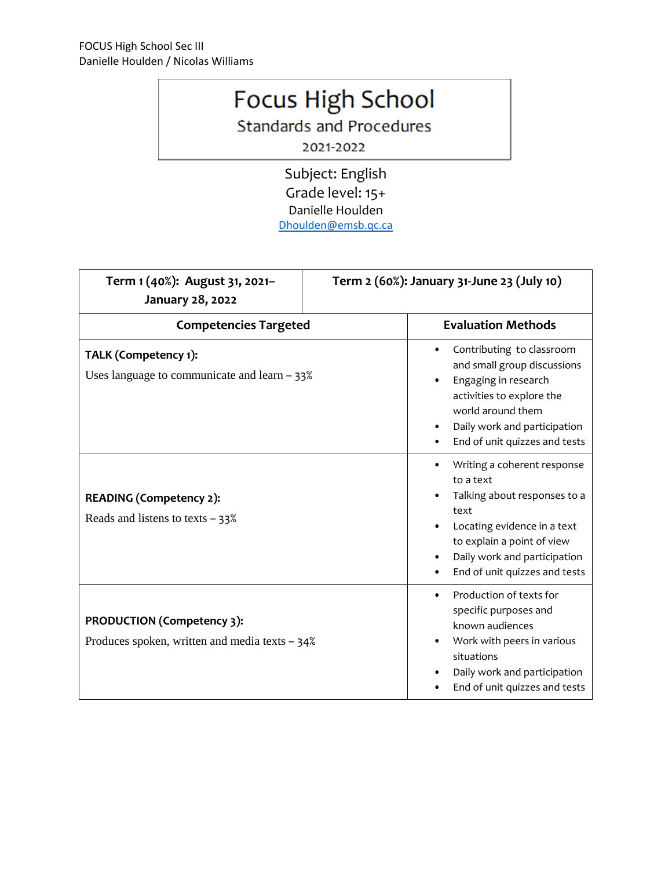## Focus High School

**Standards and Procedures** 

2021-2022

Subject: English Grade level: 15+ Danielle Houlden [Dhoulden@emsb.qc.ca](mailto:Dhoulden@emsb.qc.ca)

| Term 1 (40%): August 31, 2021-<br>January 28, 2022                             | Term 2 (60%): January 31-June 23 (July 10) |                                                                                                                                                                                                                |
|--------------------------------------------------------------------------------|--------------------------------------------|----------------------------------------------------------------------------------------------------------------------------------------------------------------------------------------------------------------|
| <b>Competencies Targeted</b>                                                   |                                            | <b>Evaluation Methods</b>                                                                                                                                                                                      |
| TALK (Competency 1):<br>Uses language to communicate and learn $-33\%$         |                                            | Contributing to classroom<br>and small group discussions<br>Engaging in research<br>activities to explore the<br>world around them<br>Daily work and participation<br>End of unit quizzes and tests            |
| <b>READING (Competency 2):</b><br>Reads and listens to texts $-33\%$           |                                            | Writing a coherent response<br>to a text<br>Talking about responses to a<br>text<br>Locating evidence in a text<br>to explain a point of view<br>Daily work and participation<br>End of unit quizzes and tests |
| PRODUCTION (Competency 3):<br>Produces spoken, written and media texts $-34\%$ |                                            | Production of texts for<br>$\bullet$<br>specific purposes and<br>known audiences<br>Work with peers in various<br>situations<br>Daily work and participation<br>End of unit quizzes and tests                  |